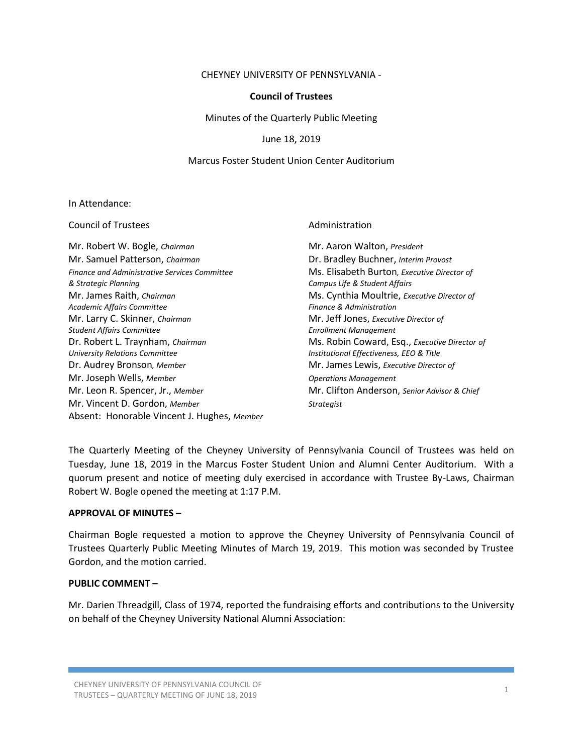### CHEYNEY UNIVERSITY OF PENNSYLVANIA -

## **Council of Trustees**

Minutes of the Quarterly Public Meeting

June 18, 2019

### Marcus Foster Student Union Center Auditorium

#### In Attendance:

| <b>Council of Trustees</b>                                                   | Administration                                                               |
|------------------------------------------------------------------------------|------------------------------------------------------------------------------|
| Mr. Robert W. Bogle, Chairman                                                | Mr. Aaron Walton, President                                                  |
| Mr. Samuel Patterson, Chairman                                               | Dr. Bradley Buchner, Interim Provost                                         |
| <b>Finance and Administrative Services Committee</b><br>& Strategic Planning | Ms. Elisabeth Burton, Executive Director of<br>Campus Life & Student Affairs |
| Mr. James Raith, Chairman<br>Academic Affairs Committee                      | Ms. Cynthia Moultrie, Executive Director of<br>Finance & Administration      |
| Mr. Larry C. Skinner, Chairman                                               | Mr. Jeff Jones, Executive Director of                                        |
| <b>Student Affairs Committee</b>                                             | <b>Enrollment Management</b>                                                 |
| Dr. Robert L. Traynham, Chairman                                             | Ms. Robin Coward, Esq., Executive Director of                                |
| <b>University Relations Committee</b>                                        | Institutional Effectiveness, EEO & Title                                     |
| Dr. Audrey Bronson, Member                                                   | Mr. James Lewis, Executive Director of                                       |
| Mr. Joseph Wells, Member                                                     | <b>Operations Management</b>                                                 |
| Mr. Leon R. Spencer, Jr., Member                                             | Mr. Clifton Anderson, Senior Advisor & Chief                                 |
| Mr. Vincent D. Gordon, Member                                                | <b>Strategist</b>                                                            |
| Absent: Honorable Vincent J. Hughes, Member                                  |                                                                              |

The Quarterly Meeting of the Cheyney University of Pennsylvania Council of Trustees was held on Tuesday, June 18, 2019 in the Marcus Foster Student Union and Alumni Center Auditorium. With a quorum present and notice of meeting duly exercised in accordance with Trustee By-Laws, Chairman Robert W. Bogle opened the meeting at 1:17 P.M.

#### **APPROVAL OF MINUTES –**

Chairman Bogle requested a motion to approve the Cheyney University of Pennsylvania Council of Trustees Quarterly Public Meeting Minutes of March 19, 2019. This motion was seconded by Trustee Gordon, and the motion carried.

## **PUBLIC COMMENT –**

Mr. Darien Threadgill, Class of 1974, reported the fundraising efforts and contributions to the University on behalf of the Cheyney University National Alumni Association: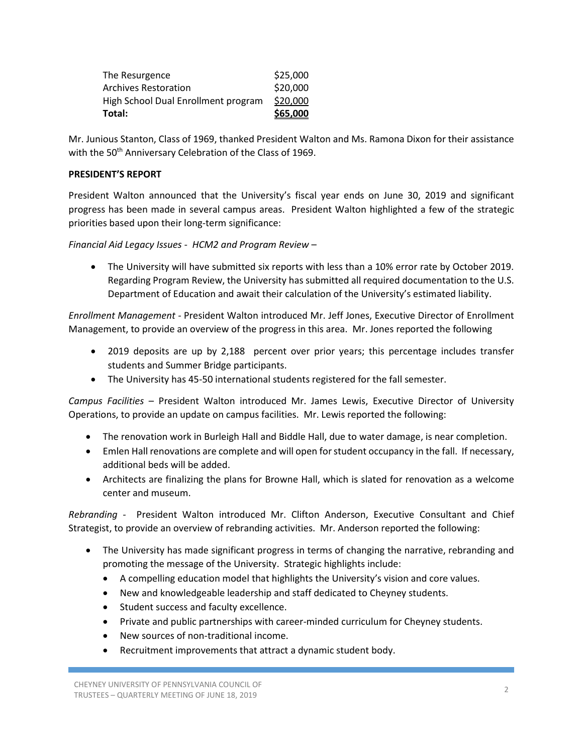| Total:                              | \$65,000 |
|-------------------------------------|----------|
| High School Dual Enrollment program | \$20,000 |
| Archives Restoration                | \$20,000 |
| The Resurgence                      | \$25,000 |

Mr. Junious Stanton, Class of 1969, thanked President Walton and Ms. Ramona Dixon for their assistance with the 50<sup>th</sup> Anniversary Celebration of the Class of 1969.

## **PRESIDENT'S REPORT**

President Walton announced that the University's fiscal year ends on June 30, 2019 and significant progress has been made in several campus areas. President Walton highlighted a few of the strategic priorities based upon their long-term significance:

*Financial Aid Legacy Issues - HCM2 and Program Review* –

 The University will have submitted six reports with less than a 10% error rate by October 2019. Regarding Program Review, the University has submitted all required documentation to the U.S. Department of Education and await their calculation of the University's estimated liability.

*Enrollment Management -* President Walton introduced Mr. Jeff Jones, Executive Director of Enrollment Management, to provide an overview of the progress in this area. Mr. Jones reported the following

- 2019 deposits are up by 2,188 percent over prior years; this percentage includes transfer students and Summer Bridge participants.
- The University has 45-50 international students registered for the fall semester.

*Campus Facilities* – President Walton introduced Mr. James Lewis, Executive Director of University Operations, to provide an update on campus facilities. Mr. Lewis reported the following:

- The renovation work in Burleigh Hall and Biddle Hall, due to water damage, is near completion.
- Emlen Hall renovations are complete and will open for student occupancy in the fall. If necessary, additional beds will be added.
- Architects are finalizing the plans for Browne Hall, which is slated for renovation as a welcome center and museum.

*Rebranding -* President Walton introduced Mr. Clifton Anderson, Executive Consultant and Chief Strategist, to provide an overview of rebranding activities. Mr. Anderson reported the following:

- The University has made significant progress in terms of changing the narrative, rebranding and promoting the message of the University. Strategic highlights include:
	- A compelling education model that highlights the University's vision and core values.
	- New and knowledgeable leadership and staff dedicated to Cheyney students.
	- Student success and faculty excellence.
	- Private and public partnerships with career-minded curriculum for Cheyney students.
	- New sources of non-traditional income.
	- Recruitment improvements that attract a dynamic student body.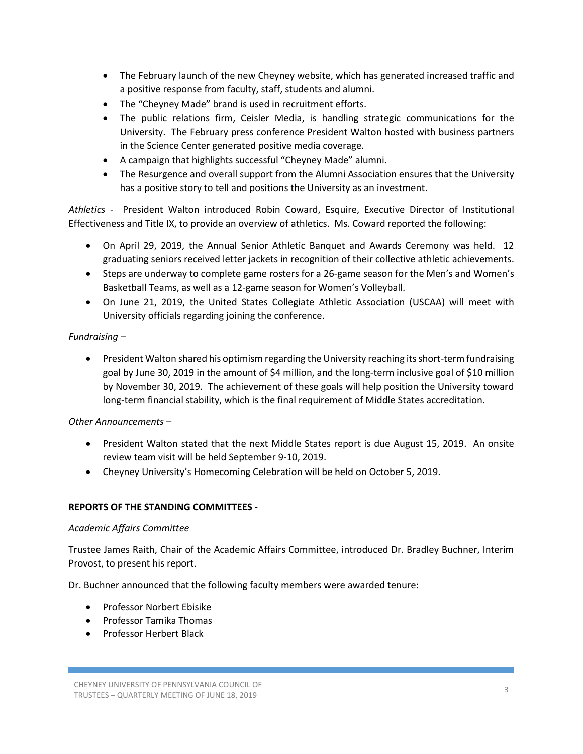- The February launch of the new Cheyney website, which has generated increased traffic and a positive response from faculty, staff, students and alumni.
- The "Cheyney Made" brand is used in recruitment efforts.
- The public relations firm, Ceisler Media, is handling strategic communications for the University. The February press conference President Walton hosted with business partners in the Science Center generated positive media coverage.
- A campaign that highlights successful "Cheyney Made" alumni.
- The Resurgence and overall support from the Alumni Association ensures that the University has a positive story to tell and positions the University as an investment.

*Athletics -* President Walton introduced Robin Coward, Esquire, Executive Director of Institutional Effectiveness and Title IX, to provide an overview of athletics. Ms. Coward reported the following:

- On April 29, 2019, the Annual Senior Athletic Banquet and Awards Ceremony was held. 12 graduating seniors received letter jackets in recognition of their collective athletic achievements.
- Steps are underway to complete game rosters for a 26-game season for the Men's and Women's Basketball Teams, as well as a 12-game season for Women's Volleyball.
- On June 21, 2019, the United States Collegiate Athletic Association (USCAA) will meet with University officials regarding joining the conference.

# *Fundraising –*

 President Walton shared his optimism regarding the University reaching its short-term fundraising goal by June 30, 2019 in the amount of \$4 million, and the long-term inclusive goal of \$10 million by November 30, 2019. The achievement of these goals will help position the University toward long-term financial stability, which is the final requirement of Middle States accreditation.

# *Other Announcements –*

- President Walton stated that the next Middle States report is due August 15, 2019. An onsite review team visit will be held September 9-10, 2019.
- Cheyney University's Homecoming Celebration will be held on October 5, 2019.

# **REPORTS OF THE STANDING COMMITTEES -**

## *Academic Affairs Committee*

Trustee James Raith, Chair of the Academic Affairs Committee, introduced Dr. Bradley Buchner, Interim Provost, to present his report.

Dr. Buchner announced that the following faculty members were awarded tenure:

- Professor Norbert Ebisike
- Professor Tamika Thomas
- Professor Herbert Black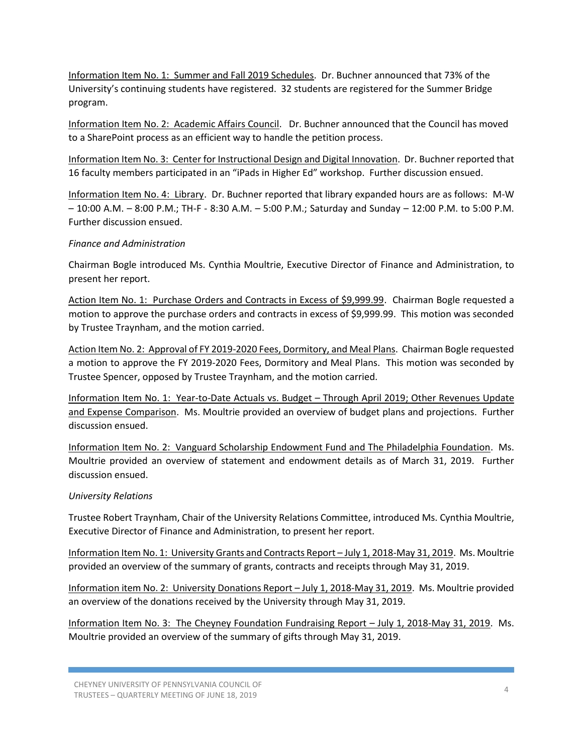Information Item No. 1: Summer and Fall 2019 Schedules. Dr. Buchner announced that 73% of the University's continuing students have registered. 32 students are registered for the Summer Bridge program.

Information Item No. 2: Academic Affairs Council. Dr. Buchner announced that the Council has moved to a SharePoint process as an efficient way to handle the petition process.

Information Item No. 3: Center for Instructional Design and Digital Innovation. Dr. Buchner reported that 16 faculty members participated in an "iPads in Higher Ed" workshop. Further discussion ensued.

Information Item No. 4: Library. Dr. Buchner reported that library expanded hours are as follows: M-W – 10:00 A.M. – 8:00 P.M.; TH-F - 8:30 A.M. – 5:00 P.M.; Saturday and Sunday – 12:00 P.M. to 5:00 P.M. Further discussion ensued.

## *Finance and Administration*

Chairman Bogle introduced Ms. Cynthia Moultrie, Executive Director of Finance and Administration, to present her report.

Action Item No. 1: Purchase Orders and Contracts in Excess of \$9,999.99. Chairman Bogle requested a motion to approve the purchase orders and contracts in excess of \$9,999.99. This motion was seconded by Trustee Traynham, and the motion carried.

Action Item No. 2: Approval of FY 2019-2020 Fees, Dormitory, and Meal Plans. Chairman Bogle requested a motion to approve the FY 2019-2020 Fees, Dormitory and Meal Plans. This motion was seconded by Trustee Spencer, opposed by Trustee Traynham, and the motion carried.

Information Item No. 1: Year-to-Date Actuals vs. Budget – Through April 2019; Other Revenues Update and Expense Comparison. Ms. Moultrie provided an overview of budget plans and projections. Further discussion ensued.

Information Item No. 2: Vanguard Scholarship Endowment Fund and The Philadelphia Foundation. Ms. Moultrie provided an overview of statement and endowment details as of March 31, 2019. Further discussion ensued.

## *University Relations*

Trustee Robert Traynham, Chair of the University Relations Committee, introduced Ms. Cynthia Moultrie, Executive Director of Finance and Administration, to present her report.

Information Item No. 1: University Grants and Contracts Report – July 1, 2018-May 31, 2019. Ms. Moultrie provided an overview of the summary of grants, contracts and receipts through May 31, 2019.

Information item No. 2: University Donations Report – July 1, 2018-May 31, 2019. Ms. Moultrie provided an overview of the donations received by the University through May 31, 2019.

Information Item No. 3: The Cheyney Foundation Fundraising Report – July 1, 2018-May 31, 2019. Ms. Moultrie provided an overview of the summary of gifts through May 31, 2019.